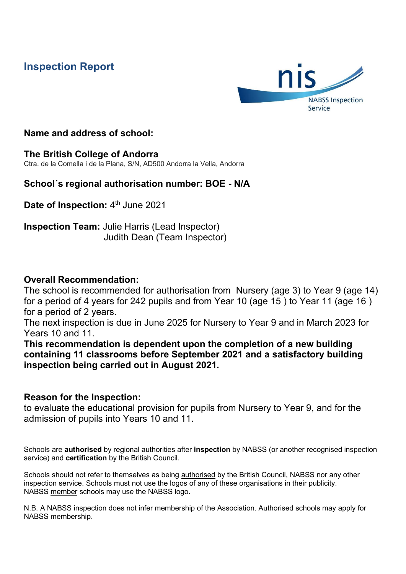# **Inspection Report**



## **Name and address of school:**

## **The British College of Andorra**

Ctra. de la Comella i de la Plana, S/N, AD500 Andorra la Vella, Andorra

## **School´s regional authorisation number: BOE - N/A**

**Date of Inspection: 4th June 2021** 

**Inspection Team:** Julie Harris (Lead Inspector) Judith Dean (Team Inspector)

## **Overall Recommendation:**

The school is recommended for authorisation from Nursery (age 3) to Year 9 (age 14) for a period of 4 years for 242 pupils and from Year 10 (age 15 ) to Year 11 (age 16 ) for a period of 2 years.

The next inspection is due in June 2025 for Nursery to Year 9 and in March 2023 for Years 10 and 11.

**This recommendation is dependent upon the completion of a new building containing 11 classrooms before September 2021 and a satisfactory building inspection being carried out in August 2021.**

## **Reason for the Inspection:**

to evaluate the educational provision for pupils from Nursery to Year 9, and for the admission of pupils into Years 10 and 11.

Schools are **authorised** by regional authorities after **inspection** by NABSS (or another recognised inspection service) and **certification** by the British Council.

Schools should not refer to themselves as being **authorised** by the British Council, NABSS nor any other inspection service. Schools must not use the logos of any of these organisations in their publicity. NABSS member schools may use the NABSS logo.

N.B. A NABSS inspection does not infer membership of the Association. Authorised schools may apply for NABSS membership.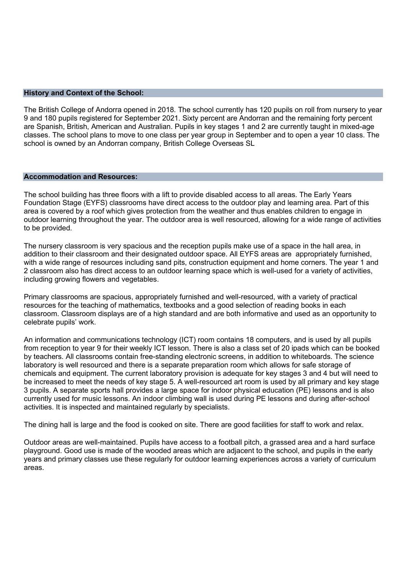### **History and Context of the School:**

The British College of Andorra opened in 2018. The school currently has 120 pupils on roll from nursery to year 9 and 180 pupils registered for September 2021. Sixty percent are Andorran and the remaining forty percent are Spanish, British, American and Australian. Pupils in key stages 1 and 2 are currently taught in mixed-age classes. The school plans to move to one class per year group in September and to open a year 10 class. The school is owned by an Andorran company, British College Overseas SL

## **Accommodation and Resources:**

The school building has three floors with a lift to provide disabled access to all areas. The Early Years Foundation Stage (EYFS) classrooms have direct access to the outdoor play and learning area. Part of this area is covered by a roof which gives protection from the weather and thus enables children to engage in outdoor learning throughout the year. The outdoor area is well resourced, allowing for a wide range of activities to be provided.

The nursery classroom is very spacious and the reception pupils make use of a space in the hall area, in addition to their classroom and their designated outdoor space. All EYFS areas are appropriately furnished, with a wide range of resources including sand pits, construction equipment and home corners. The year 1 and 2 classroom also has direct access to an outdoor learning space which is well-used for a variety of activities, including growing flowers and vegetables.

Primary classrooms are spacious, appropriately furnished and well-resourced, with a variety of practical resources for the teaching of mathematics, textbooks and a good selection of reading books in each classroom. Classroom displays are of a high standard and are both informative and used as an opportunity to celebrate pupils' work.

An information and communications technology (ICT) room contains 18 computers, and is used by all pupils from reception to year 9 for their weekly ICT lesson. There is also a class set of 20 ipads which can be booked by teachers. All classrooms contain free-standing electronic screens, in addition to whiteboards. The science laboratory is well resourced and there is a separate preparation room which allows for safe storage of chemicals and equipment. The current laboratory provision is adequate for key stages 3 and 4 but will need to be increased to meet the needs of key stage 5. A well-resourced art room is used by all primary and key stage 3 pupils. A separate sports hall provides a large space for indoor physical education (PE) lessons and is also currently used for music lessons. An indoor climbing wall is used during PE lessons and during after-school activities. It is inspected and maintained regularly by specialists.

The dining hall is large and the food is cooked on site. There are good facilities for staff to work and relax.

Outdoor areas are well-maintained. Pupils have access to a football pitch, a grassed area and a hard surface playground. Good use is made of the wooded areas which are adjacent to the school, and pupils in the early years and primary classes use these regularly for outdoor learning experiences across a variety of curriculum areas.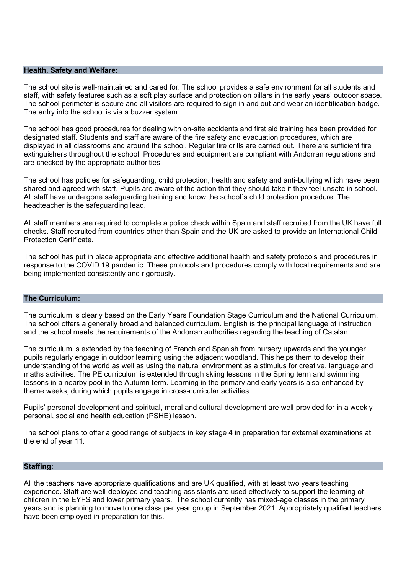### **Health, Safety and Welfare:**

The school site is well-maintained and cared for. The school provides a safe environment for all students and staff, with safety features such as a soft play surface and protection on pillars in the early years' outdoor space. The school perimeter is secure and all visitors are required to sign in and out and wear an identification badge. The entry into the school is via a buzzer system.

The school has good procedures for dealing with on-site accidents and first aid training has been provided for designated staff. Students and staff are aware of the fire safety and evacuation procedures, which are displayed in all classrooms and around the school. Regular fire drills are carried out. There are sufficient fire extinguishers throughout the school. Procedures and equipment are compliant with Andorran regulations and are checked by the appropriate authorities

The school has policies for safeguarding, child protection, health and safety and anti-bullying which have been shared and agreed with staff. Pupils are aware of the action that they should take if they feel unsafe in school. All staff have undergone safeguarding training and know the school´s child protection procedure. The headteacher is the safeguarding lead.

All staff members are required to complete a police check within Spain and staff recruited from the UK have full checks. Staff recruited from countries other than Spain and the UK are asked to provide an International Child Protection Certificate.

The school has put in place appropriate and effective additional health and safety protocols and procedures in response to the COVID 19 pandemic. These protocols and procedures comply with local requirements and are being implemented consistently and rigorously.

## **The Curriculum:**

The curriculum is clearly based on the Early Years Foundation Stage Curriculum and the National Curriculum. The school offers a generally broad and balanced curriculum. English is the principal language of instruction and the school meets the requirements of the Andorran authorities regarding the teaching of Catalan.

The curriculum is extended by the teaching of French and Spanish from nursery upwards and the younger pupils regularly engage in outdoor learning using the adjacent woodland. This helps them to develop their understanding of the world as well as using the natural environment as a stimulus for creative, language and maths activities. The PE curriculum is extended through skiing lessons in the Spring term and swimming lessons in a nearby pool in the Autumn term. Learning in the primary and early years is also enhanced by theme weeks, during which pupils engage in cross-curricular activities.

Pupils' personal development and spiritual, moral and cultural development are well-provided for in a weekly personal, social and health education (PSHE) lesson.

The school plans to offer a good range of subjects in key stage 4 in preparation for external examinations at the end of year 11.

#### **Staffing:**

All the teachers have appropriate qualifications and are UK qualified, with at least two years teaching experience. Staff are well-deployed and teaching assistants are used effectively to support the learning of children in the EYFS and lower primary years. The school currently has mixed-age classes in the primary years and is planning to move to one class per year group in September 2021. Appropriately qualified teachers have been employed in preparation for this.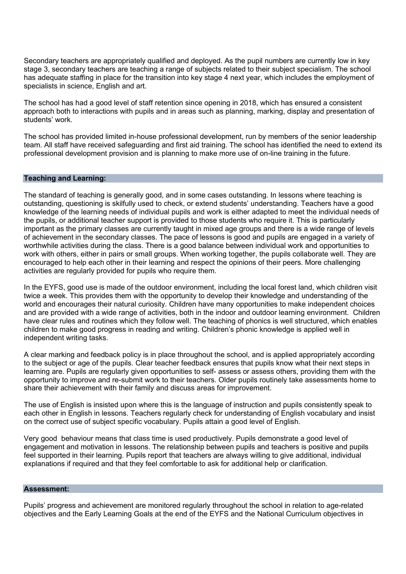Secondary teachers are appropriately qualified and deployed. As the pupil numbers are currently low in key stage 3, secondary teachers are teaching a range of subjects related to their subject specialism. The school has adequate staffing in place for the transition into key stage 4 next year, which includes the employment of specialists in science, English and art.

The school has had a good level of staff retention since opening in 2018, which has ensured a consistent approach both to interactions with pupils and in areas such as planning, marking, display and presentation of students' work.

The school has provided limited in-house professional development, run by members of the senior leadership team. All staff have received safeguarding and first aid training. The school has identified the need to extend its professional development provision and is planning to make more use of on-line training in the future.

### **Teaching and Learning:**

The standard of teaching is generally good, and in some cases outstanding. In lessons where teaching is outstanding, questioning is skilfully used to check, or extend students' understanding. Teachers have a good knowledge of the learning needs of individual pupils and work is either adapted to meet the individual needs of the pupils, or additional teacher support is provided to those students who require it. This is particularly important as the primary classes are currently taught in mixed age groups and there is a wide range of levels of achievement in the secondary classes. The pace of lessons is good and pupils are engaged in a variety of worthwhile activities during the class. There is a good balance between individual work and opportunities to work with others, either in pairs or small groups. When working together, the pupils collaborate well. They are encouraged to help each other in their learning and respect the opinions of their peers. More challenging activities are regularly provided for pupils who require them.

In the EYFS, good use is made of the outdoor environment, including the local forest land, which children visit twice a week. This provides them with the opportunity to develop their knowledge and understanding of the world and encourages their natural curiosity. Children have many opportunities to make independent choices and are provided with a wide range of activities, both in the indoor and outdoor learning environment. Children have clear rules and routines which they follow well. The teaching of phonics is well structured, which enables children to make good progress in reading and writing. Children's phonic knowledge is applied well in independent writing tasks.

A clear marking and feedback policy is in place throughout the school, and is applied appropriately according to the subject or age of the pupils. Clear teacher feedback ensures that pupils know what their next steps in learning are. Pupils are regularly given opportunities to self- assess or assess others, providing them with the opportunity to improve and re-submit work to their teachers. Older pupils routinely take assessments home to share their achievement with their family and discuss areas for improvement.

The use of English is insisted upon where this is the language of instruction and pupils consistently speak to each other in English in lessons. Teachers regularly check for understanding of English vocabulary and insist on the correct use of subject specific vocabulary. Pupils attain a good level of English.

Very good behaviour means that class time is used productively. Pupils demonstrate a good level of engagement and motivation in lessons. The relationship between pupils and teachers is positive and pupils feel supported in their learning. Pupils report that teachers are always willing to give additional, individual explanations if required and that they feel comfortable to ask for additional help or clarification.

#### **Assessment:**

Pupils' progress and achievement are monitored regularly throughout the school in relation to age-related objectives and the Early Learning Goals at the end of the EYFS and the National Curriculum objectives in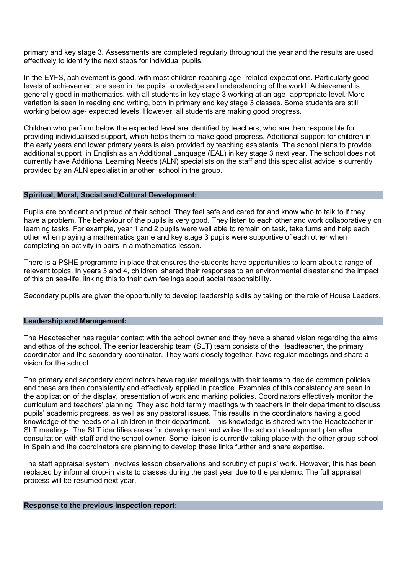primary and key stage 3. Assessments are completed regularly throughout the year and the results are used effectively to identify the next steps for individual pupils.

In the EYFS, achievement is good, with most children reaching age- related expectations. Particularly good levels of achievement are seen in the pupils' knowledge and understanding of the world. Achievement is generally good in mathematics, with all students in key stage 3 working at an age- appropriate level. More variation is seen in reading and writing, both in primary and key stage 3 classes. Some students are still working below age- expected levels. However, all students are making good progress.

Children who perform below the expected level are identified by teachers, who are then responsible for providing individualised support, which helps them to make good progress. Additional support for children in the early years and lower primary years is also provided by teaching assistants. The school plans to provide additional support in English as an Additional Language (EAL) in key stage 3 next year. The school does not currently have Additional Learning Needs (ALN) specialists on the staff and this specialist advice is currently provided by an ALN specialist in another school in the group.

### **Spiritual, Moral, Social and Cultural Development:**

Pupils are confident and proud of their school. They feel safe and cared for and know who to talk to if they have a problem. The behaviour of the pupils is very good. They listen to each other and work collaboratively on learning tasks. For example, year 1 and 2 pupils were well able to remain on task, take turns and help each other when playing a mathematics game and key stage 3 pupils were supportive of each other when completing an activity in pairs in a mathematics lesson.

There is a PSHE programme in place that ensures the students have opportunities to learn about a range of relevant topics. In years 3 and 4, children shared their responses to an environmental disaster and the impact of this on sea-life, linking this to their own feelings about social responsibility.

Secondary pupils are given the opportunity to develop leadership skills by taking on the role of House Leaders.

## **Leadership and Management:**

The Headteacher has regular contact with the school owner and they have a shared vision regarding the aims and ethos of the school. The senior leadership team (SLT) team consists of the Headteacher, the primary coordinator and the secondary coordinator. They work closely together, have regular meetings and share a vision for the school.

The primary and secondary coordinators have regular meetings with their teams to decide common policies and these are then consistently and effectively applied in practice. Examples of this consistency are seen in the application of the display, presentation of work and marking policies. Coordinators effectively monitor the curriculum and teachers' planning. They also hold termly meetings with teachers in their department to discuss pupils' academic progress, as well as any pastoral issues. This results in the coordinators having a good knowledge of the needs of all children in their department. This knowledge is shared with the Headteacher in SLT meetings. The SLT identifies areas for development and writes the school development plan after consultation with staff and the school owner. Some liaison is currently taking place with the other group school in Spain and the coordinators are planning to develop these links further and share expertise.

The staff appraisal system involves lesson observations and scrutiny of pupils' work. However, this has been replaced by informal drop-in visits to classes during the past year due to the pandemic. The full appraisal process will be resumed next year.

## **Response to the previous inspection report:**